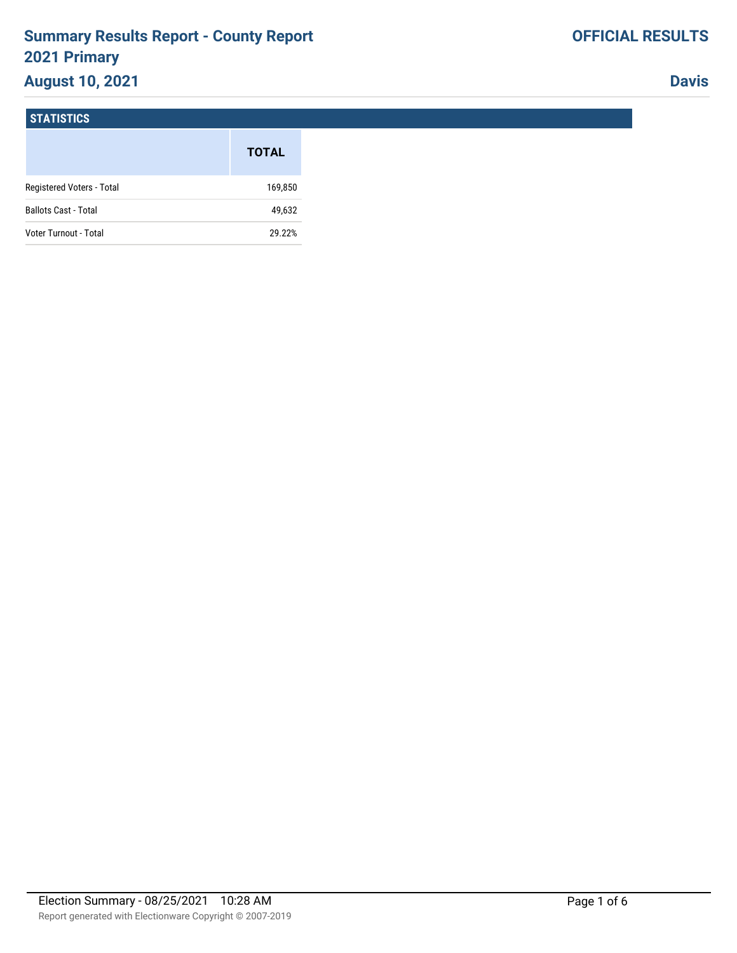# **Summary Results Report - County Report 2021 Primary**

# **August 10, 2021**

**Davis**

#### **STATISTICS**

|                             | <b>TOTAL</b> |
|-----------------------------|--------------|
| Registered Voters - Total   | 169,850      |
| <b>Ballots Cast - Total</b> | 49,632       |
| Voter Turnout - Total       | 29.22%       |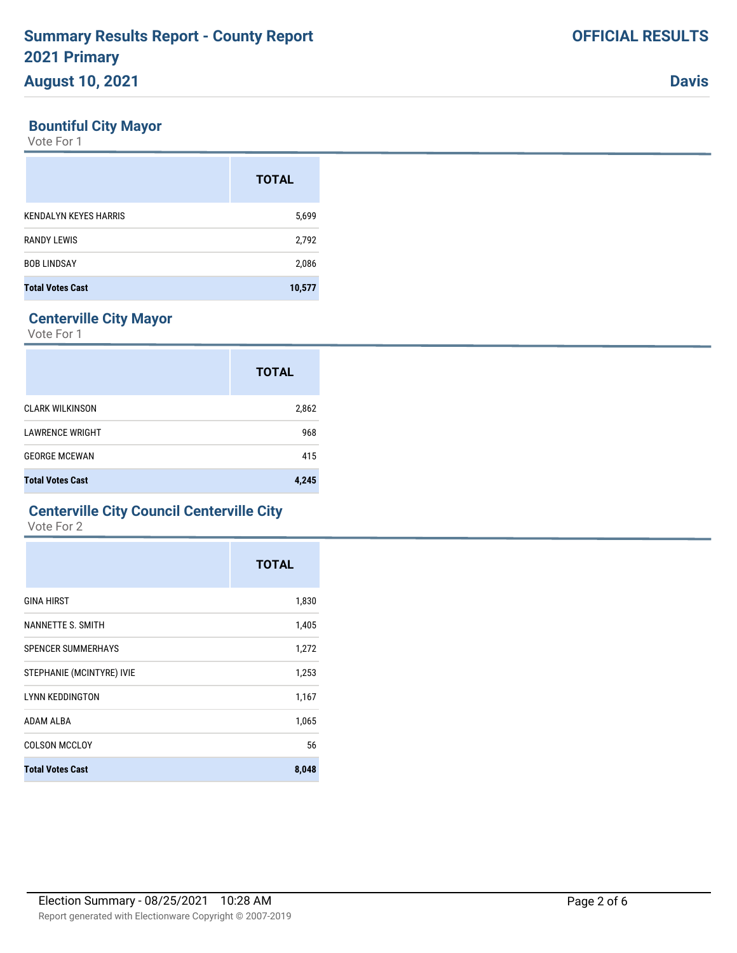### **Bountiful City Mayor**

Vote For 1

|                              | <b>TOTAL</b> |
|------------------------------|--------------|
| <b>KENDALYN KEYES HARRIS</b> | 5,699        |
| <b>RANDY LEWIS</b>           | 2,792        |
| <b>BOB LINDSAY</b>           | 2,086        |
| <b>Total Votes Cast</b>      | 10,577       |

## **Centerville City Mayor**

Vote For 1

|                         | <b>TOTAL</b> |
|-------------------------|--------------|
| <b>CLARK WILKINSON</b>  | 2,862        |
| <b>LAWRENCE WRIGHT</b>  | 968          |
| <b>GEORGE MCEWAN</b>    | 415          |
| <b>Total Votes Cast</b> | 4,245        |

### **Centerville City Council Centerville City**

Vote For 2

|                           | <b>TOTAL</b> |
|---------------------------|--------------|
| <b>GINA HIRST</b>         | 1,830        |
| NANNETTE S. SMITH         | 1,405        |
| <b>SPENCER SUMMERHAYS</b> | 1,272        |
| STEPHANIE (MCINTYRE) IVIE | 1,253        |
| <b>LYNN KEDDINGTON</b>    | 1,167        |
| <b>ADAM ALBA</b>          | 1,065        |
| <b>COLSON MCCLOY</b>      | 56           |
| <b>Total Votes Cast</b>   | 8,048        |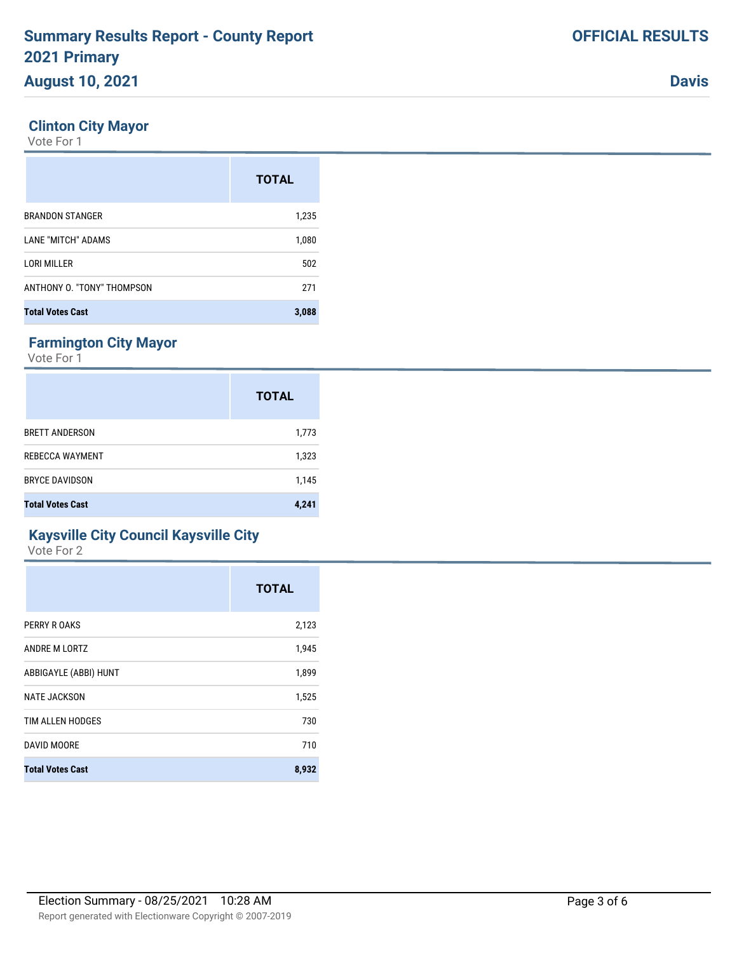BRANDON STANGER 1,235

LANE "MITCH" ADAMS 1,080 LORI MILLER 502 ANTHONY O. "TONY" THOMPSON 271

**Total Votes Cast 3,088**

**TOTAL**

#### **Farmington City Mayor**

**Clinton City Mayor**

Vote For 1

Vote For 1

|                         | <b>TOTAL</b> |
|-------------------------|--------------|
| <b>BRETT ANDERSON</b>   | 1,773        |
| <b>REBECCA WAYMENT</b>  | 1,323        |
| <b>BRYCE DAVIDSON</b>   | 1,145        |
| <b>Total Votes Cast</b> | 4,241        |

### **Kaysville City Council Kaysville City**

Vote For 2

|                         | <b>TOTAL</b> |
|-------------------------|--------------|
| PERRY R OAKS            | 2,123        |
| ANDRE M LORTZ           | 1,945        |
| ABBIGAYLE (ABBI) HUNT   | 1,899        |
| <b>NATE JACKSON</b>     | 1,525        |
| TIM ALLEN HODGES        | 730          |
| DAVID MOORE             | 710          |
| <b>Total Votes Cast</b> | 8,932        |

**Davis**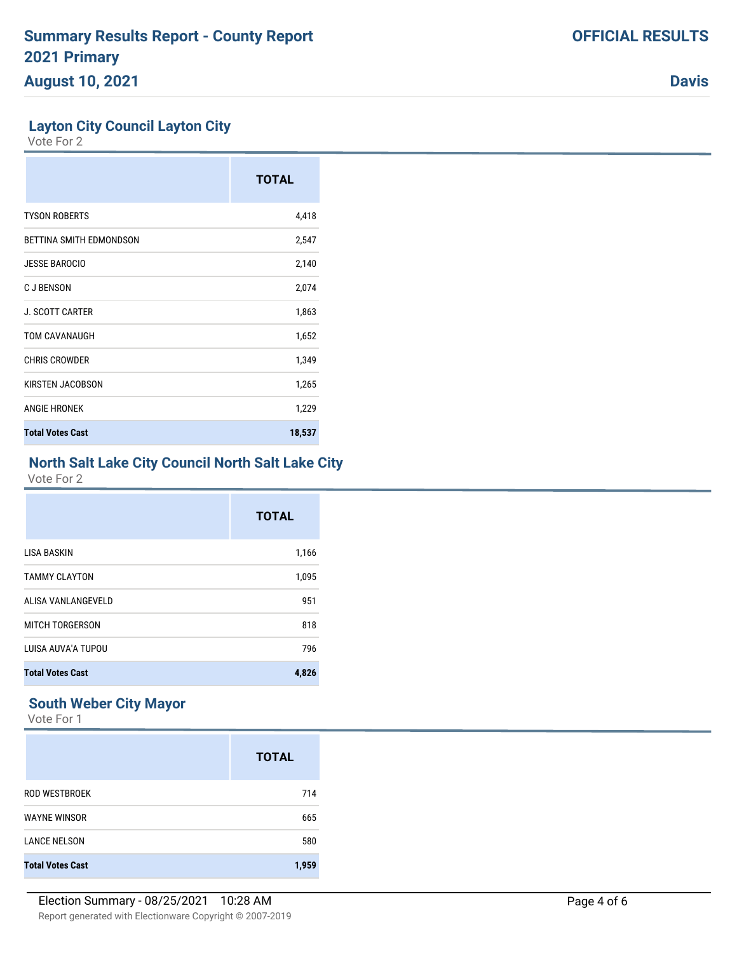**Davis**

### **Layton City Council Layton City**

Vote For 2

|                         | <b>TOTAL</b> |
|-------------------------|--------------|
| <b>TYSON ROBERTS</b>    | 4,418        |
| BETTINA SMITH EDMONDSON | 2,547        |
| <b>JESSE BAROCIO</b>    | 2,140        |
| <b>CJBENSON</b>         | 2,074        |
| <b>J. SCOTT CARTER</b>  | 1,863        |
| TOM CAVANAUGH           | 1,652        |
| <b>CHRIS CROWDER</b>    | 1,349        |
| KIRSTEN JACOBSON        | 1,265        |
| <b>ANGIE HRONEK</b>     | 1,229        |
| <b>Total Votes Cast</b> | 18,537       |

# **North Salt Lake City Council North Salt Lake City**

Vote For 2

|                         | <b>TOTAL</b> |
|-------------------------|--------------|
| <b>LISA BASKIN</b>      | 1,166        |
| <b>TAMMY CLAYTON</b>    | 1,095        |
| ALISA VANLANGEVELD      | 951          |
| MITCH TORGERSON         | 818          |
| LUISA AUVA'A TUPOU      | 796          |
| <b>Total Votes Cast</b> | 4,826        |

### **South Weber City Mayor**

Vote For 1

|                         | <b>TOTAL</b> |
|-------------------------|--------------|
| ROD WESTBROEK           | 714          |
| <b>WAYNE WINSOR</b>     | 665          |
| <b>LANCE NELSON</b>     | 580          |
| <b>Total Votes Cast</b> | 1.959        |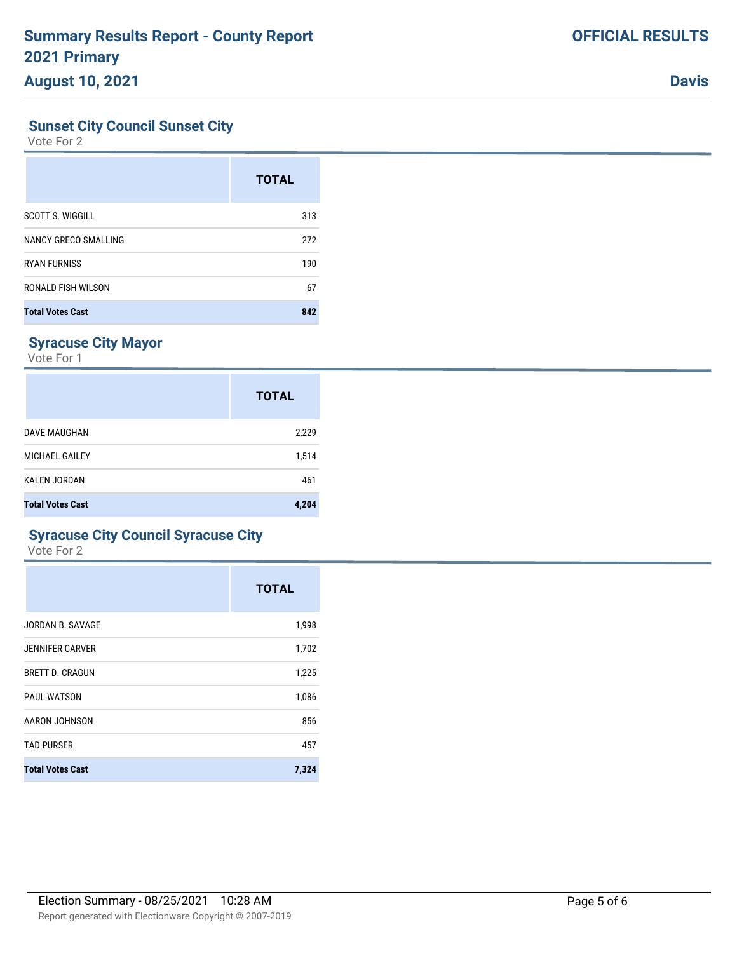**Davis**

### **Sunset City Council Sunset City**

Vote For 2

|                         | <b>TOTAL</b> |
|-------------------------|--------------|
| <b>SCOTT S. WIGGILL</b> | 313          |
| NANCY GRECO SMALLING    | 272          |
| <b>RYAN FURNISS</b>     | 190          |
| RONALD FISH WILSON      | 67           |
| <b>Total Votes Cast</b> | 842          |

# **Syracuse City Mayor**

Vote For 1

|                         | <b>TOTAL</b> |
|-------------------------|--------------|
| DAVE MAUGHAN            | 2,229        |
| MICHAEL GAILEY          | 1,514        |
| KALEN JORDAN            | 461          |
| <b>Total Votes Cast</b> | 4,204        |

### **Syracuse City Council Syracuse City**

Vote For 2

|                         | <b>TOTAL</b> |
|-------------------------|--------------|
| JORDAN B. SAVAGE        | 1,998        |
| <b>JENNIFER CARVER</b>  | 1,702        |
| <b>BRETT D. CRAGUN</b>  | 1,225        |
| <b>PAUL WATSON</b>      | 1,086        |
| AARON JOHNSON           | 856          |
| <b>TAD PURSER</b>       | 457          |
| <b>Total Votes Cast</b> | 7,324        |